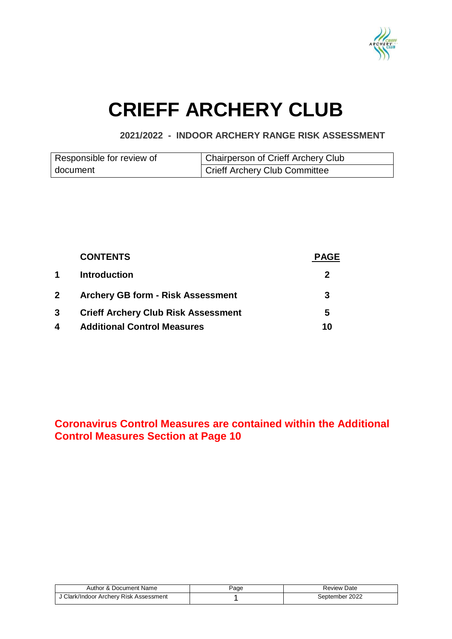

# **CRIEFF ARCHERY CLUB**

### **2021/2022 - INDOOR ARCHERY RANGE RISK ASSESSMENT**

| Responsible for review of | Chairperson of Crieff Archery Club |
|---------------------------|------------------------------------|
| document                  | Crieff Archery Club Committee      |

|                | <b>CONTENTS</b>                            | <b>PAGE</b> |
|----------------|--------------------------------------------|-------------|
| 1              | <b>Introduction</b>                        | 2           |
| $\mathbf{2}^-$ | <b>Archery GB form - Risk Assessment</b>   | 3           |
| 3              | <b>Crieff Archery Club Risk Assessment</b> | 5           |
| 4              | <b>Additional Control Measures</b>         | 10          |

## **Coronavirus Control Measures are contained within the Additional Control Measures Section at Page 10**

| Author & Document Name                 | Page | <b>Review Date</b> |
|----------------------------------------|------|--------------------|
| J Clark/Indoor Archery Risk Assessment |      | September 2022     |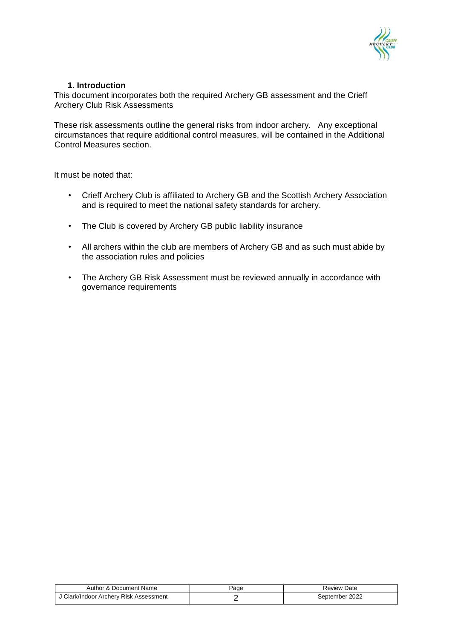

### **1. Introduction**

This document incorporates both the required Archery GB assessment and the Crieff Archery Club Risk Assessments

These risk assessments outline the general risks from indoor archery. Any exceptional circumstances that require additional control measures, will be contained in the Additional Control Measures section.

It must be noted that:

- Crieff Archery Club is affiliated to Archery GB and the Scottish Archery Association and is required to meet the national safety standards for archery.
- The Club is covered by Archery GB public liability insurance
- All archers within the club are members of Archery GB and as such must abide by the association rules and policies
- The Archery GB Risk Assessment must be reviewed annually in accordance with governance requirements

| Author & Document Name                 | Page | <b>Review Date</b> |
|----------------------------------------|------|--------------------|
| J Clark/Indoor Archery Risk Assessment |      | September 2022     |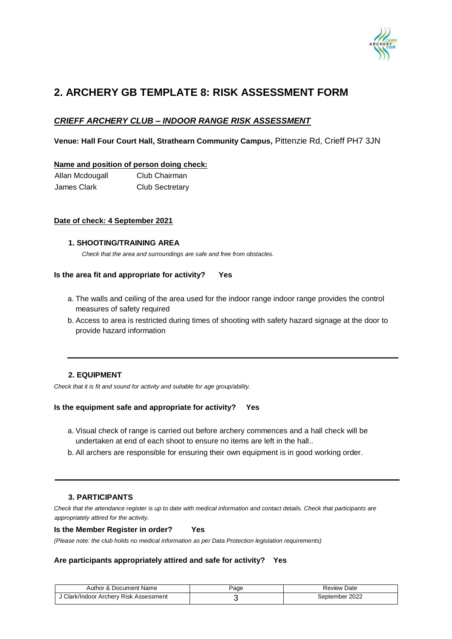

# **2. ARCHERY GB TEMPLATE 8: RISK ASSESSMENT FORM**

### *CRIEFF ARCHERY CLUB – INDOOR RANGE RISK ASSESSMENT*

**Venue: Hall Four Court Hall, Strathearn Community Campus,** Pittenzie Rd, Crieff PH7 3JN

#### **Name and position of person doing check:**

Allan Mcdougall Club Chairman James Clark Club Sectretary

#### **Date of check: 4 September 2021**

#### **1. SHOOTING/TRAINING AREA**

*Check that the area and surroundings are safe and free from obstacles.* 

#### **Is the area fit and appropriate for activity? Yes**

- a. The walls and ceiling of the area used for the indoor range indoor range provides the control measures of safety required
- b. Access to area is restricted during times of shooting with safety hazard signage at the door to provide hazard information

#### **2. EQUIPMENT**

*Check that it is fit and sound for activity and suitable for age group/ability.* 

#### **Is the equipment safe and appropriate for activity? Yes**

- a. Visual check of range is carried out before archery commences and a hall check will be undertaken at end of each shoot to ensure no items are left in the hall..
- b. All archers are responsible for ensuring their own equipment is in good working order.

#### **3. PARTICIPANTS**

*Check that the attendance register is up to date with medical information and contact details. Check that participants are appropriately attired for the activity.* 

#### **Is the Member Register in order? Yes**

*(Please note: the club holds no medical information as per Data Protection legislation requirements)* 

#### **Are participants appropriately attired and safe for activity? Yes**

| Document Name<br>Author<br>' ^ ۰     | aqe- | Date<br>Review |
|--------------------------------------|------|----------------|
| Clark/Indoor Archery Risk Assessment |      | September 2022 |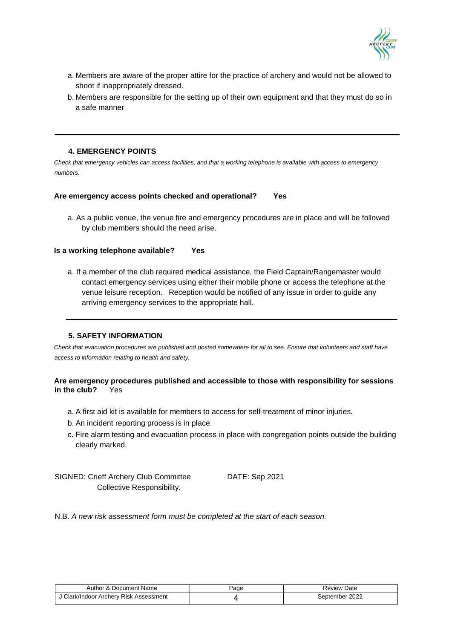

- a. Members are aware of the proper attire for the practice of archery and would not be allowed to shoot if inappropriately dressed.
- b. Members are responsible for the setting up of their own equipment and that they must do so in a safe manner

#### **4. EMERGENCY POINTS**

*Check that emergency vehicles can access facilities, and that a working telephone is available with access to emergency numbers.*

#### **Are emergency access points checked and operational? Yes**

a. As a public venue, the venue fire and emergency procedures are in place and will be followed by club members should the need arise.

#### **Is a working telephone available? Yes**

a. If a member of the club required medical assistance, the Field Captain/Rangemaster would contact emergency services using either their mobile phone or access the telephone at the venue leisure reception. Reception would be notified of any issue in order to guide any arriving emergency services to the appropriate hall.

#### **5. SAFETY INFORMATION**

*Check that evacuation procedures are published and posted somewhere for all to see. Ensure that volunteers and staff have access to information relating to health and safety.* 

#### **Are emergency procedures published and accessible to those with responsibility for sessions in the club?** Yes

- a. A first aid kit is available for members to access for self-treatment of minor injuries.
- b. An incident reporting process is in place.
- c. Fire alarm testing and evacuation process in place with congregation points outside the building clearly marked.

SIGNED: Crieff Archery Club Committee DATE: Sep 2021 Collective Responsibility.

N.B. *A new risk assessment form must be completed at the start of each season.* 

| Author & Document Name                 | Page | Review Date    |
|----------------------------------------|------|----------------|
| J Clark/Indoor Archery Risk Assessment |      | September 2022 |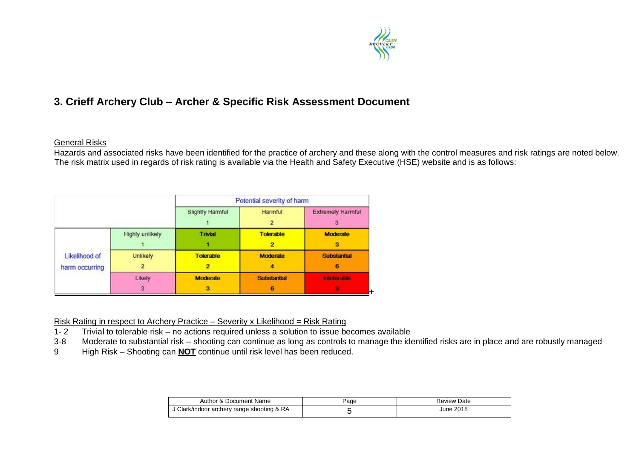

# **3. Crieff Archery Club – Archer & Specific Risk Assessment Document**

### General Risks

Hazards and associated risks have been identified for the practice of archery and these along with the control measures and risk ratings are noted below. The risk matrix used in regards of risk rating is available via the Health and Safety Executive (HSE) website and is as follows:

|                                 |                 | Potential severity of harm |                    |                          |
|---------------------------------|-----------------|----------------------------|--------------------|--------------------------|
|                                 |                 | Slightly Harmful           | Harmful            | <b>Extremely Harmful</b> |
|                                 | Highly unlikely | Trivial                    | <b>Tolerable</b>   | <b>Moderate</b><br>и     |
| Likelihood of<br>harm occurring | Unlikely        | <b>Tolerable</b>           | <b>Moderate</b>    | <b>Substantial</b><br>6  |
|                                 | Likely<br>3     | <b>Moderate</b>            | <b>Substantial</b> | Introduce state          |

Risk Rating in respect to Archery Practice – Severity x Likelihood = Risk Rating

- 1- 2 Trivial to tolerable risk no actions required unless a solution to issue becomes available
- 3-8 Moderate to substantial risk shooting can continue as long as controls to manage the identified risks are in place and are robustly managed
- 9 High Risk Shooting can **NOT** continue until risk level has been reduced.

| Author & Document Name                     | aqe | Review Date |
|--------------------------------------------|-----|-------------|
| J Clark/indoor archery range shooting & RA |     | June 2018   |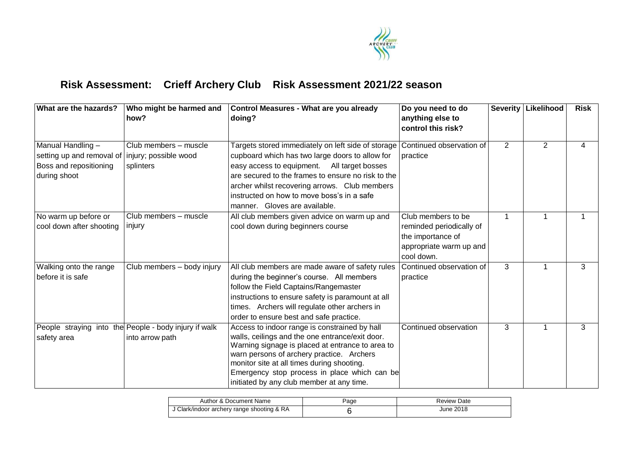

# **Risk Assessment: Crieff Archery Club Risk Assessment 2021/22 season**

| What are the hazards?                                                                    | Who might be harmed and<br>how?                                          | <b>Control Measures - What are you already</b><br>doing?                                                                                                                                                                                                                                                                                     | Do you need to do<br>anything else to<br>control this risk?                                                  |                | Severity   Likelihood | Risk |
|------------------------------------------------------------------------------------------|--------------------------------------------------------------------------|----------------------------------------------------------------------------------------------------------------------------------------------------------------------------------------------------------------------------------------------------------------------------------------------------------------------------------------------|--------------------------------------------------------------------------------------------------------------|----------------|-----------------------|------|
| Manual Handling -<br>setting up and removal of<br>Boss and repositioning<br>during shoot | Club members - muscle<br>injury; possible wood<br>splinters              | Targets stored immediately on left side of storage<br>cupboard which has two large doors to allow for<br>easy access to equipment. All target bosses<br>are secured to the frames to ensure no risk to the<br>archer whilst recovering arrows. Club members<br>instructed on how to move boss's in a safe<br>manner. Gloves are available.   | Continued observation of<br>practice                                                                         | 2              | $\overline{2}$        |      |
| No warm up before or<br>cool down after shooting                                         | $\overline{\text{Club}}$ members - muscle<br>injury                      | All club members given advice on warm up and<br>cool down during beginners course                                                                                                                                                                                                                                                            | Club members to be<br>reminded periodically of<br>the importance of<br>appropriate warm up and<br>cool down. | $\overline{1}$ |                       |      |
| Walking onto the range<br>before it is safe                                              | Club members - body injury                                               | All club members are made aware of safety rules<br>during the beginner's course. All members<br>follow the Field Captains/Rangemaster<br>instructions to ensure safety is paramount at all<br>times. Archers will regulate other archers in<br>order to ensure best and safe practice.                                                       | Continued observation of<br>practice                                                                         | 3              |                       | 3    |
| safety area                                                                              | People straying into the People - body injury if walk<br>into arrow path | Access to indoor range is constrained by hall<br>walls, ceilings and the one entrance/exit door.<br>Warning signage is placed at entrance to area to<br>warn persons of archery practice. Archers<br>monitor site at all times during shooting.<br>Emergency stop process in place which can be<br>initiated by any club member at any time. | Continued observation                                                                                        | 3              |                       | 3    |

| Author & Document Name                     | age | <b>Review Date</b> |
|--------------------------------------------|-----|--------------------|
| J Clark/indoor archery range shooting & RA |     | June 2018          |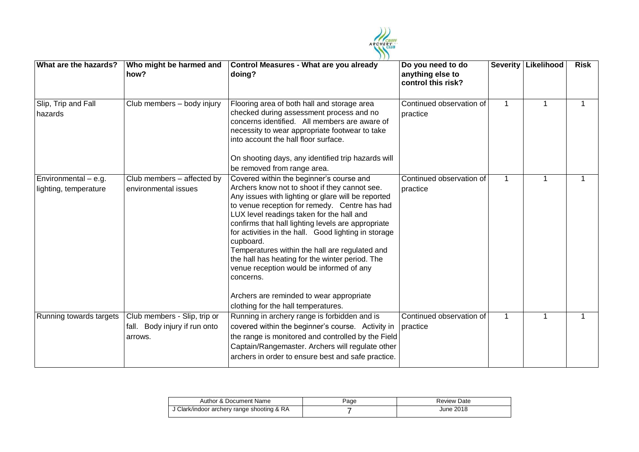

| What are the hazards?                           | Who might be harmed and<br>how?                                          | <b>Control Measures - What are you already</b><br>doing?                                                                                                                                                                                                                                                                                                                                                                                                                                                                                                                                                                  | Do you need to do<br>anything else to<br>control this risk? |              | Severity   Likelihood | <b>Risk</b> |
|-------------------------------------------------|--------------------------------------------------------------------------|---------------------------------------------------------------------------------------------------------------------------------------------------------------------------------------------------------------------------------------------------------------------------------------------------------------------------------------------------------------------------------------------------------------------------------------------------------------------------------------------------------------------------------------------------------------------------------------------------------------------------|-------------------------------------------------------------|--------------|-----------------------|-------------|
| Slip, Trip and Fall<br>hazards                  | Club members - body injury                                               | Flooring area of both hall and storage area<br>checked during assessment process and no<br>concerns identified. All members are aware of<br>necessity to wear appropriate footwear to take<br>into account the hall floor surface.                                                                                                                                                                                                                                                                                                                                                                                        | Continued observation of<br>practice                        | $\mathbf 1$  |                       |             |
|                                                 |                                                                          | On shooting days, any identified trip hazards will<br>be removed from range area.                                                                                                                                                                                                                                                                                                                                                                                                                                                                                                                                         |                                                             |              |                       |             |
| Environmental $-$ e.g.<br>lighting, temperature | Club members - affected by<br>environmental issues                       | Covered within the beginner's course and<br>Archers know not to shoot if they cannot see.<br>Any issues with lighting or glare will be reported<br>to venue reception for remedy. Centre has had<br>LUX level readings taken for the hall and<br>confirms that hall lighting levels are appropriate<br>for activities in the hall. Good lighting in storage<br>cupboard.<br>Temperatures within the hall are regulated and<br>the hall has heating for the winter period. The<br>venue reception would be informed of any<br>concerns.<br>Archers are reminded to wear appropriate<br>clothing for the hall temperatures. | Continued observation of<br>practice                        | $\mathbf 1$  |                       |             |
| Running towards targets                         | Club members - Slip, trip or<br>fall. Body injury if run onto<br>arrows. | Running in archery range is forbidden and is<br>covered within the beginner's course. Activity in<br>the range is monitored and controlled by the Field<br>Captain/Rangemaster. Archers will regulate other<br>archers in order to ensure best and safe practice.                                                                                                                                                                                                                                                                                                                                                         | Continued observation of<br>practice                        | $\mathbf{1}$ | 1                     |             |

| Author & Document Name                     | Page | Review Date |
|--------------------------------------------|------|-------------|
| J Clark/indoor archery range shooting & RA |      | June 2018   |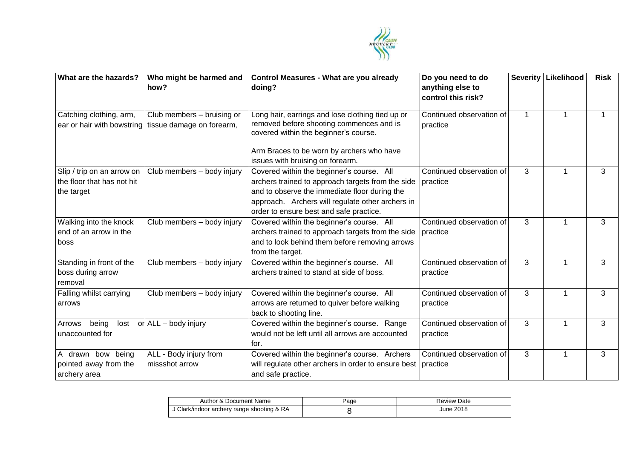

| What are the hazards?                                                  | Who might be harmed and<br>how?                                                      | Control Measures - What are you already<br>doing?                                                                                                                                                                                              | Do you need to do<br>anything else to<br>control this risk? |              | <b>Severity Likelihood</b> | <b>Risk</b> |
|------------------------------------------------------------------------|--------------------------------------------------------------------------------------|------------------------------------------------------------------------------------------------------------------------------------------------------------------------------------------------------------------------------------------------|-------------------------------------------------------------|--------------|----------------------------|-------------|
| Catching clothing, arm,                                                | Club members - bruising or<br>ear or hair with bowstring   tissue damage on forearm, | Long hair, earrings and lose clothing tied up or<br>removed before shooting commences and is<br>covered within the beginner's course.<br>Arm Braces to be worn by archers who have<br>issues with bruising on forearm.                         | Continued observation of<br>practice                        | $\mathbf{1}$ | 1                          | 1           |
| Slip / trip on an arrow on<br>the floor that has not hit<br>the target | Club members - body injury                                                           | Covered within the beginner's course. All<br>archers trained to approach targets from the side<br>and to observe the immediate floor during the<br>approach. Archers will regulate other archers in<br>order to ensure best and safe practice. | Continued observation of<br>practice                        | 3            |                            | 3           |
| Walking into the knock<br>end of an arrow in the<br>boss               | Club members - body injury                                                           | Covered within the beginner's course. All<br>archers trained to approach targets from the side<br>and to look behind them before removing arrows<br>from the target.                                                                           | Continued observation of<br>practice                        | 3            | 1                          | 3           |
| Standing in front of the<br>boss during arrow<br>removal               | Club members - body injury                                                           | Covered within the beginner's course. All<br>archers trained to stand at side of boss.                                                                                                                                                         | Continued observation of<br>practice                        | 3            |                            | 3           |
| Falling whilst carrying<br>arrows                                      | Club members - body injury                                                           | Covered within the beginner's course. All<br>arrows are returned to quiver before walking<br>back to shooting line.                                                                                                                            | Continued observation of<br>practice                        | 3            | $\mathbf 1$                | 3           |
| being<br>lost<br>Arrows<br>unaccounted for                             | or ALL - body injury                                                                 | Covered within the beginner's course. Range<br>would not be left until all arrows are accounted<br>for.                                                                                                                                        | Continued observation of<br>practice                        | 3            | 1                          | 3           |
| A drawn bow being<br>pointed away from the<br>archery area             | ALL - Body injury from<br>missshot arrow                                             | Covered within the beginner's course. Archers<br>will regulate other archers in order to ensure best<br>and safe practice.                                                                                                                     | Continued observation of<br>practice                        | 3            | 1                          | 3           |

| Author & Document Name                     | Page | <b>Review Date</b> |
|--------------------------------------------|------|--------------------|
| J Clark/indoor archery range shooting & RA |      | June 2018          |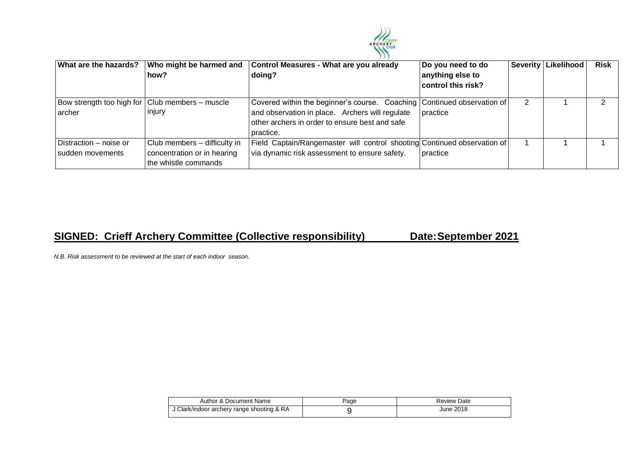

| What are the hazards?                                       | Who might be harmed and<br>how?                                                     | Control Measures - What are you already<br>doing?                                                                                                                                         | Do you need to do<br>anything else to<br>control this risk? | Severity   Likelihood | <b>Risk</b> |
|-------------------------------------------------------------|-------------------------------------------------------------------------------------|-------------------------------------------------------------------------------------------------------------------------------------------------------------------------------------------|-------------------------------------------------------------|-----------------------|-------------|
| Bow strength too high for   Club members - muscle<br>archer | injury                                                                              | Covered within the beginner's course. Coaching Continued observation of<br>and observation in place. Archers will regulate<br>other archers in order to ensure best and safe<br>practice. | practice                                                    |                       |             |
| Distraction – noise or<br>sudden movements                  | Club members - difficulty in<br>concentration or in hearing<br>the whistle commands | Field Captain/Rangemaster will control shooting Continued observation of<br>via dynamic risk assessment to ensure safety.                                                                 | practice                                                    |                       |             |

# **SIGNED: Crieff Archery Committee (Collective responsibility) Date: September 2021**

*N.B. Risk assessment to be reviewed at the start of each indoor season.*

| Author & Document Name |                                          | Page | Review Date |
|------------------------|------------------------------------------|------|-------------|
|                        | Glark/indoor archery range shooting & RA |      | June 2018   |